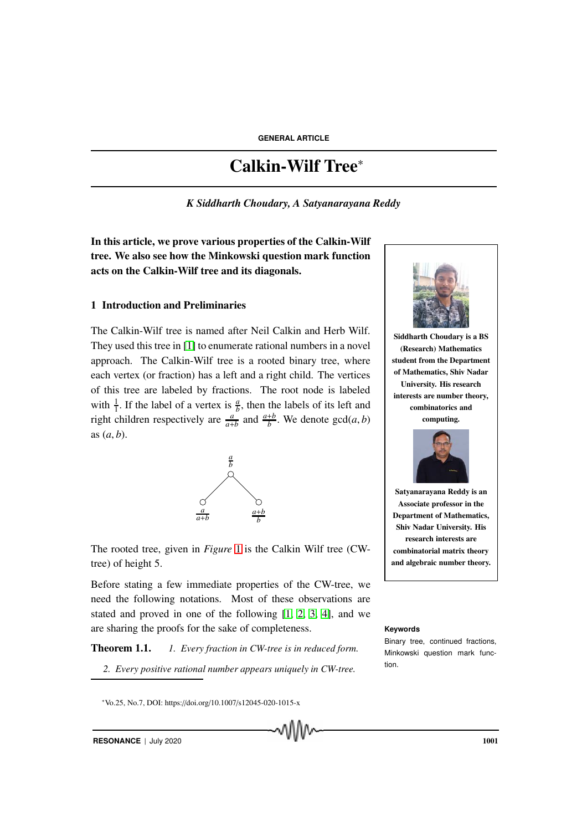# Calkin-Wilf Tree<sup>∗</sup>

*K Siddharth Choudary, A Satyanarayana Reddy*

In this article, we prove various properties of the Calkin-Wilf tree. We also see how the Minkowski question mark function acts on the Calkin-Wilf tree and its diagonals.

#### 1 Introduction and Preliminaries

The Calkin-Wilf tree is named after Neil Calkin and Herb Wilf. They used this tree in [1] to enumerate rational numbers in a novel approach. The Calkin-Wilf tree is a rooted binary tree, where each vertex (or fraction) has a left and a right child. The vertices of this tree are labeled by fractions. The root node is labeled with  $\frac{1}{1}$ . If the label of a vertex is  $\frac{a}{b}$ , then the labels of its left and right children respectively are  $\frac{a}{a+b}$  and  $\frac{a+b}{b}$ . We denote gcd(*a*, *b*) as (*a*, *b*).



The rooted tree, given in *Figure* 1 is the Calkin Wilf tree (CWtree) of height 5.

Before stating a few immediate properties of the CW-tree, we need the following notations. Most of these observations are stated and proved in one of the following [1, 2, 3, 4], and we are sharing the proofs for the sake of completeness. **Keywords**

Theorem 1.1. *1. Every fraction in CW-tree is in reduced form.*

*2. Every positive rational number appears uniquely in CW-tree.*



Siddharth Choudary is a BS (Research) Mathematics student from the Department of Mathematics, Shiv Nadar University. His research interests are number theory, combinatorics and computing.



Satyanarayana Reddy is an Associate professor in the Department of Mathematics, Shiv Nadar University. His research interests are combinatorial matrix theory and algebraic number theory.

Binary tree, continued fractions, Minkowski question mark function.

<sup>∗</sup>Vo.25, No.7, DOI: https://doi.org/10.1007/s12045-020-1015-x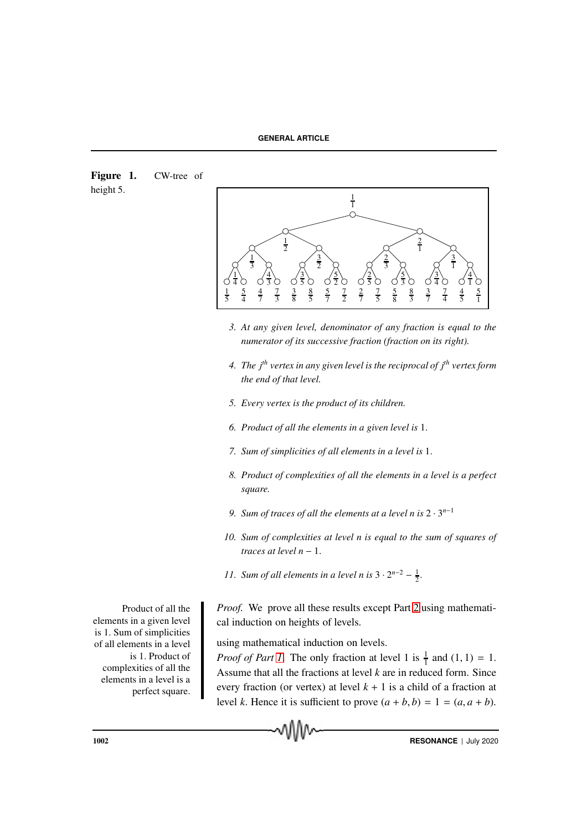Figure 1. CW-tree of height 5.



- *3. At any given level, denominator of any fraction is equal to the numerator of its successive fraction (fraction on its right).*
- *4. The jth vertex in any given level is the reciprocal of jth vertex form the end of that level.*
- *5. Every vertex is the product of its children.*
- *6. Product of all the elements in a given level is* 1.
- *7. Sum of simplicities of all elements in a level is* 1.
- *8. Product of complexities of all the elements in a level is a perfect square.*
- *9. Sum of traces of all the elements at a level n is* 2 · 3 *n*−1
- *10. Sum of complexities at level n is equal to the sum of squares of traces at level n* − 1.
- *11.* Sum of all elements in a level n is  $3 \cdot 2^{n-2} \frac{1}{2}$ .

Proof. We prove all these results except Part 2 using mathematical induction on heights of levels.

using mathematical induction on levels.

*Proof of Part 1*. The only fraction at level 1 is  $\frac{1}{1}$  and  $(1, 1) = 1$ . Assume that all the fractions at level *k* are in reduced form. Since every fraction (or vertex) at level  $k + 1$  is a child of a fraction at level *k*. Hence it is sufficient to prove  $(a + b, b) = 1 = (a, a + b)$ .

Product of all the elements in a given level is 1. Sum of simplicities of all elements in a level is 1. Product of complexities of all the elements in a level is a perfect square.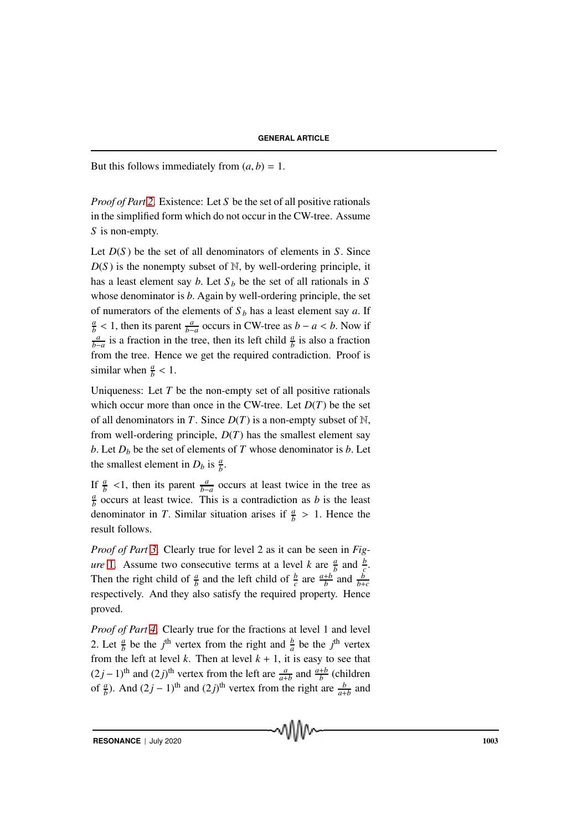But this follows immediately from  $(a, b) = 1$ .

*Proof of Part 2*. Existence: Let *S* be the set of all positive rationals in the simplified form which do not occur in the CW-tree. Assume *S* is non-empty.

Let *D*(*S* ) be the set of all denominators of elements in *S*. Since  $D(S)$  is the nonempty subset of N, by well-ordering principle, it has a least element say *b*. Let  $S_b$  be the set of all rationals in *S* whose denominator is *b*. Again by well-ordering principle, the set of numerators of the elements of  $S_b$  has a least element say *a*. If *a*  $\frac{a}{b}$  < 1, then its parent  $\frac{a}{b-a}$  occurs in CW-tree as *b* − *a* < *b*. Now if  $\frac{a}{b-a}$  is a fraction in the tree, then its left child  $\frac{a}{b}$  is also a fraction from the tree. Hence we get the required contradiction. Proof is similar when  $\frac{a}{b}$  < 1.

Uniqueness: Let  $T$  be the non-empty set of all positive rationals which occur more than once in the CW-tree. Let  $D(T)$  be the set of all denominators in *T*. Since  $D(T)$  is a non-empty subset of N, from well-ordering principle,  $D(T)$  has the smallest element say *b*. Let  $D<sub>b</sub>$  be the set of elements of *T* whose denominator is *b*. Let the smallest element in  $D_b$  is  $\frac{a}{b}$ .

If  $\frac{a}{b}$  <1, then its parent  $\frac{a}{b-a}$  occurs at least twice in the tree as *a*  $\frac{a}{b}$  occurs at least twice. This is a contradiction as *b* is the least denominator in *T*. Similar situation arises if  $\frac{a}{b} > 1$ . Hence the result follows.

*Proof of Part 3*. Clearly true for level 2 as it can be seen in *Figure* 1. Assume two consecutive terms at a level *k* are  $\frac{a}{b}$  and  $\frac{b}{c}$ . Then the right child of  $\frac{a}{b}$  and the left child of  $\frac{b}{c}$  are  $\frac{a+b}{b}$  and  $\frac{b}{b+c}$ respectively. And they also satisfy the required property. Hence proved.

*Proof of Part 4*. Clearly true for the fractions at level 1 and level 2. Let  $\frac{a}{b}$  be the *j*<sup>th</sup> vertex from the right and  $\frac{b}{a}$  be the *j*<sup>th</sup> vertex from the left at level  $k$ . Then at level  $k + 1$ , it is easy to see that  $(2j-1)$ <sup>th</sup> and  $(2j)$ <sup>th</sup> vertex from the left are  $\frac{a}{a+b}$  and  $\frac{a+b}{b}$  (children of  $\frac{a}{b}$ ). And  $(2j - 1)$ <sup>th</sup> and  $(2j)$ <sup>th</sup> vertex from the right are  $\frac{b}{a+b}$  and

**RESONANCE** | July 2020 1003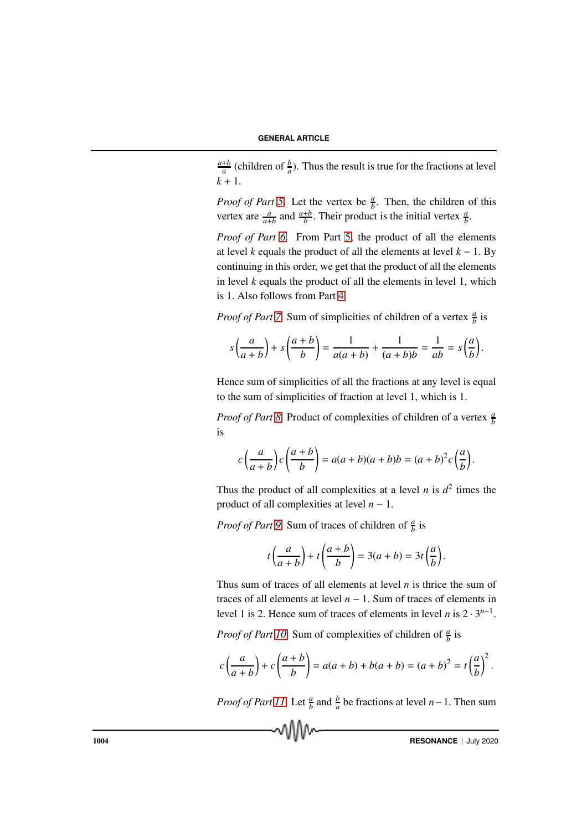*a*+*b*  $\frac{ab}{a}$  (children of  $\frac{b}{a}$ ). Thus the result is true for the fractions at level  $k + 1$ .

*Proof of Part 5*. Let the vertex be  $\frac{a}{b}$ . Then, the children of this vertex are  $\frac{a}{a+b}$  and  $\frac{a+b}{b}$ . Their product is the initial vertex  $\frac{a}{b}$ .

*Proof of Part 6*. From Part 5, the product of all the elements at level *k* equals the product of all the elements at level  $k - 1$ . By continuing in this order, we get that the product of all the elements in level *k* equals the product of all the elements in level 1, which is 1. Also follows from Part 4.

*Proof of Part 7*. Sum of simplicities of children of a vertex  $\frac{a}{b}$  is

$$
s\left(\frac{a}{a+b}\right)+s\left(\frac{a+b}{b}\right)=\frac{1}{a(a+b)}+\frac{1}{(a+b)b}=\frac{1}{ab}=s\left(\frac{a}{b}\right).
$$

Hence sum of simplicities of all the fractions at any level is equal to the sum of simplicities of fraction at level 1, which is 1.

*Proof of Part 8*. Product of complexities of children of a vertex  $\frac{a}{b}$ is

$$
c\left(\frac{a}{a+b}\right)c\left(\frac{a+b}{b}\right) = a(a+b)(a+b)b = (a+b)^{2}c\left(\frac{a}{b}\right).
$$

Thus the product of all complexities at a level *n* is  $d^2$  times the product of all complexities at level *n* − 1.

*Proof of Part 9*. Sum of traces of children of  $\frac{a}{b}$  is

$$
t\left(\frac{a}{a+b}\right) + t\left(\frac{a+b}{b}\right) = 3(a+b) = 3t\left(\frac{a}{b}\right).
$$

Thus sum of traces of all elements at level *n* is thrice the sum of traces of all elements at level  $n - 1$ . Sum of traces of elements in level 1 is 2. Hence sum of traces of elements in level *n* is  $2 \cdot 3^{n-1}$ .

*Proof of Part 10.* Sum of complexities of children of  $\frac{a}{b}$  is

$$
c\left(\frac{a}{a+b}\right)+c\left(\frac{a+b}{b}\right)=a(a+b)+b(a+b)=(a+b)^2=t\left(\frac{a}{b}\right)^2.
$$

*Proof of Part 11*. Let  $\frac{a}{b}$  and  $\frac{b}{a}$  be fractions at level *n*−1. Then sum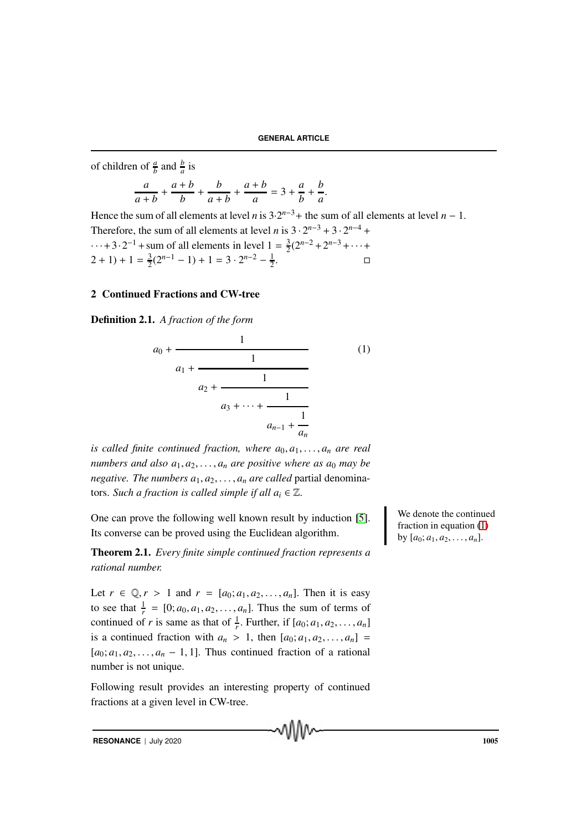of children of  $\frac{a}{b}$  and  $\frac{b}{a}$  is

$$
\frac{a}{a+b} + \frac{a+b}{b} + \frac{b}{a+b} + \frac{a+b}{a} = 3 + \frac{a}{b} + \frac{b}{a}.
$$

Hence the sum of all elements at level *n* is  $3 \cdot 2^{n-3}$  + the sum of all elements at level *n* – 1. Therefore, the sum of all elements at level *n* is  $3 \cdot 2^{n-3} + 3 \cdot 2^{n-4} +$  $\cdots$  + 3  $\cdot$  2<sup>-1</sup> + sum of all elements in level 1 =  $\frac{3}{2}$  $\frac{3}{2}(2^{n-2}+2^{n-3}+\cdots+$  $(2 + 1) + 1 = \frac{3}{2}$  $\frac{3}{2}(2^{n-1}-1)+1=3\cdot 2^{n-2}-\frac{1}{2}$ 2 . В последните поставите на пример.<br>Село в поставите поставите на пример. По поставите на пример. По поставите на пример. По поставите на пример.<br>Село в поставите на пример. По поставите на пример. По поставите на пример.

### 2 Continued Fractions and CW-tree

Definition 2.1. *A fraction of the form*

$$
a_0 + \cfrac{1}{a_1 + \cfrac{1}{a_2 + \cfrac{1}{a_3 + \dots + \cfrac{1}{a_{n-1} + \cfrac{1}{a_n}}}}}
$$
(1)

*is called finite continued fraction, where*  $a_0, a_1, \ldots, a_n$  *are real numbers and also*  $a_1, a_2, \ldots, a_n$  *are positive where as*  $a_0$  *may be negative. The numbers*  $a_1, a_2, \ldots, a_n$  *are called* partial denominators. *Such a fraction is called simple if all*  $a_i \in \mathbb{Z}$ .

One can prove the following well known result by induction [5]. Its converse can be proved using the Euclidean algorithm.

Theorem 2.1. *Every finite simple continued fraction represents a rational number.*

Let  $r \in \mathbb{Q}, r > 1$  and  $r = [a_0; a_1, a_2, \dots, a_n]$ . Then it is easy to see that  $\frac{1}{r} = [0; a_0, a_1, a_2, \dots, a_n]$ . Thus the sum of terms of continued of *r* is same as that of  $\frac{1}{r}$ . Further, if  $[a_0; a_1, a_2, \dots, a_n]$ is a continued fraction with  $a_n > 1$ , then  $[a_0; a_1, a_2, \ldots, a_n]$  $[a_0; a_1, a_2, \ldots, a_n - 1, 1]$ . Thus continued fraction of a rational number is not unique.

Following result provides an interesting property of continued fractions at a given level in CW-tree.

We denote the continued fraction in equation (1) by  $[a_0; a_1, a_2, \ldots, a_n]$ .

**RESONANCE** | July 2020 1005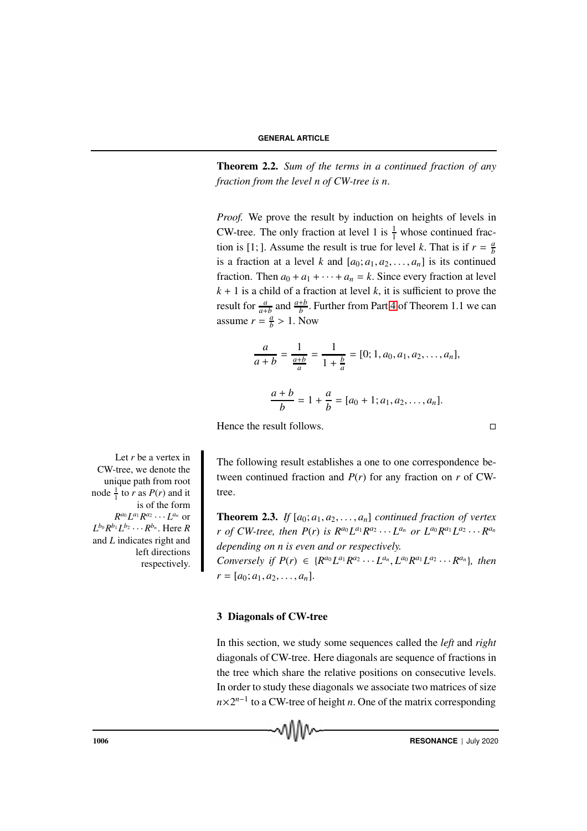Theorem 2.2. *Sum of the terms in a continued fraction of any fraction from the level n of CW-tree is n*.

*Proof.* We prove the result by induction on heights of levels in CW-tree. The only fraction at level 1 is  $\frac{1}{1}$  whose continued fraction is [1; ]. Assume the result is true for level *k*. That is if  $r = \frac{a}{b}$ *b* is a fraction at a level *k* and  $[a_0; a_1, a_2, \ldots, a_n]$  is its continued fraction. Then  $a_0 + a_1 + \cdots + a_n = k$ . Since every fraction at level  $k + 1$  is a child of a fraction at level  $k$ , it is sufficient to prove the result for  $\frac{a}{a+b}$  and  $\frac{a+b}{b}$ . Further from Part 4 of Theorem 1.1 we can assume  $r = \frac{a}{b}$  $\frac{a}{b}$  > 1. Now

$$
\frac{a}{a+b} = \frac{1}{\frac{a+b}{a}} = \frac{1}{1+\frac{b}{a}} = [0; 1, a_0, a_1, a_2, \dots, a_n],
$$

$$
\frac{a+b}{b} = 1 + \frac{a}{b} = [a_0 + 1; a_1, a_2, \dots, a_n].
$$

Hence the result follows.

$$
\Box
$$

The following result establishes a one to one correspondence between continued fraction and  $P(r)$  for any fraction on  $r$  of CWtree.

**Theorem 2.3.** *If*  $[a_0; a_1, a_2, \ldots, a_n]$  *continued fraction of vertex r* of CW-tree, then  $P(r)$  is  $R^{a_0}L^{a_1}R^{a_2}\cdots L^{a_n}$  or  $L^{a_0}R^{a_1}L^{a_2}\cdots R^{a_n}$ *depending on n is even and or respectively.* Conversely if  $P(r) \in \{R^{a_0}L^{a_1}R^{a_2}\cdots L^{a_n}, L^{a_0}R^{a_1}L^{a_2}\cdots R^{a_n}\},\$  then  $r = [a_0; a_1, a_2, \ldots, a_n].$ 

#### 3 Diagonals of CW-tree

In this section, we study some sequences called the *left* and *right* diagonals of CW-tree. Here diagonals are sequence of fractions in the tree which share the relative positions on consecutive levels. In order to study these diagonals we associate two matrices of size  $n \times 2^{n-1}$  to a CW-tree of height *n*. One of the matrix corresponding

Let *r* be a vertex in CW-tree, we denote the unique path from root node  $\frac{1}{1}$  to *r* as *P*(*r*) and it is of the form  $R^{a_0}L^{a_1}R^{a_2}\cdots L^{a_n}$  or  $L^{b_0}R^{b_1}L^{b_2}\cdots R^{b_n}$ . Here  $R$ and *L* indicates right and left directions respectively.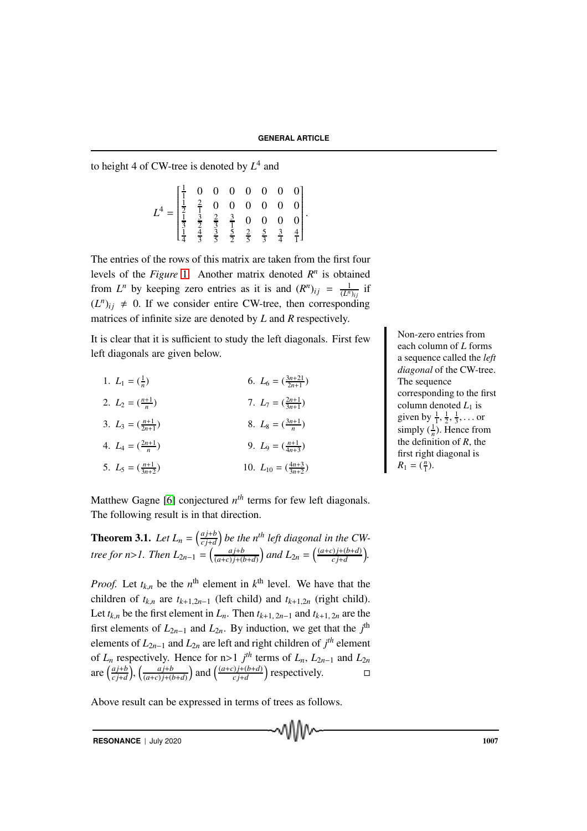to height 4 of CW-tree is denoted by  $L^4$  and

$$
L^{4} = \begin{bmatrix} \frac{1}{1} & 0 & 0 & 0 & 0 & 0 & 0 & 0 \\ \frac{1}{2} & \frac{2}{1} & 0 & 0 & 0 & 0 & 0 & 0 \\ \frac{1}{3} & \frac{3}{2} & \frac{2}{3} & \frac{3}{1} & 0 & 0 & 0 & 0 \\ \frac{1}{4} & \frac{4}{3} & \frac{3}{5} & \frac{5}{2} & \frac{2}{5} & \frac{5}{3} & \frac{3}{4} & \frac{4}{1} \end{bmatrix}.
$$

The entries of the rows of this matrix are taken from the first four levels of the *Figure* 1. Another matrix denoted  $R^n$  is obtained from  $L^n$  by keeping zero entries as it is and  $(R^n)_{ij} = \frac{1}{(L^n)_{ij}}$  if  $(L^n)_{ij} \neq 0$ . If we consider entire CW-tree, then corresponding matrices of infinite size are denoted by *L* and *R* respectively.

It is clear that it is sufficient to study the left diagonals. First few left diagonals are given below.

| 1. $L_1 = (\frac{1}{n})$                 | 6. $L_6 = \left(\frac{3n+21}{2n+1}\right)$    |
|------------------------------------------|-----------------------------------------------|
| 2. $L_2 = \left(\frac{n+1}{n}\right)$    | 7. $L_7 = (\frac{2n+1}{3n+1})$                |
| 3. $L_3 = \left(\frac{n+1}{2n+1}\right)$ | 8. $L_8 = (\frac{3n+1}{n})$                   |
| 4. $L_4 = (\frac{2n+1}{n})$              | 9. $L_9 = (\frac{n+1}{4n+3})$                 |
| 5. $L_5 = \left(\frac{n+1}{3n+2}\right)$ | 10. $L_{10} = \left(\frac{4n+3}{3n+2}\right)$ |

Non-zero entries from each column of *L* forms a sequence called the *left diagonal* of the CW-tree. The sequence corresponding to the first column denoted  $L_1$  is given by  $\frac{1}{1}, \frac{1}{2}, \frac{1}{3}, \dots$  or simply  $(\frac{1}{n})$ . Hence from the definition of *R*, the first right diagonal is  $R_1 = (\frac{n}{1}).$ 

Matthew Gagne [6] conjectured  $n<sup>th</sup>$  terms for few left diagonals. The following result is in that direction.

**Theorem 3.1.** Let  $L_n = \left(\frac{aj+b}{ci+d}\right)$  $\left(\frac{a j + b}{c j + d}\right)$  be the n<sup>th</sup> left diagonal in the CW*tree for n>1. Then*  $L_{2n-1} = \left(\frac{a j + b}{(a+c) j + (b-a) j + (b-a) j + (c-a) j + (d-a) j + (d-a) j + (e-a) j + (e-a) j + (f-a) j + (f-a) j + (f-a) j + (f-a) j + (f-a) j + (f-a) j + (f-a) j + (f-a) j + (f-a) j + (f-a) j + (f-a) j + (f-a) j + (f-a) j + (f-a) j + (f-a) j + (f-a) j + (f-a) j + (f-a) j + (f-a) j + (f-a) j + (f-a) j + (f-a) j + ($  $\left(\frac{a+j+b}{(a+c)j+(b+d)}\right)$  and  $L_{2n} = \left(\frac{(a+c)j+(b+d)}{cj+d}\right)$  $\frac{(c)^{j+(b+d)}}{c^{j+d}}$ .

*Proof.* Let  $t_{k,n}$  be the  $n^{\text{th}}$  element in  $k^{\text{th}}$  level. We have that the children of  $t_{k,n}$  are  $t_{k+1,2n-1}$  (left child) and  $t_{k+1,2n}$  (right child). Let  $t_{k,n}$  be the first element in  $L_n$ . Then  $t_{k+1, 2n-1}$  and  $t_{k+1, 2n}$  are the first elements of  $L_{2n-1}$  and  $L_{2n}$ . By induction, we get that the  $j^{\text{th}}$ elements of  $L_{2n-1}$  and  $L_{2n}$  are left and right children of  $j<sup>th</sup>$  element of  $L_n$  respectively. Hence for n>1  $j^{th}$  terms of  $L_n$ ,  $L_{2n-1}$  and  $L_{2n}$ are  $\left(\frac{aj+b}{ci+d}\right)$  $\left(\frac{aj+b}{(a+c)}\right), \left(\frac{aj+b}{(a+c)}\right)$  $\left(\frac{a^{j+b}}{(a+c)^{j+(b+d)}}\right)$  and  $\left(\frac{(a+c)^{j+(b+d)}}{c^{j+d}}\right)$  $\left(\frac{c}{c} + \frac{d}{d}\right)$  respectively.  $\Box$ 

MM

Above result can be expressed in terms of trees as follows.

**RESONANCE** | July 2020 1007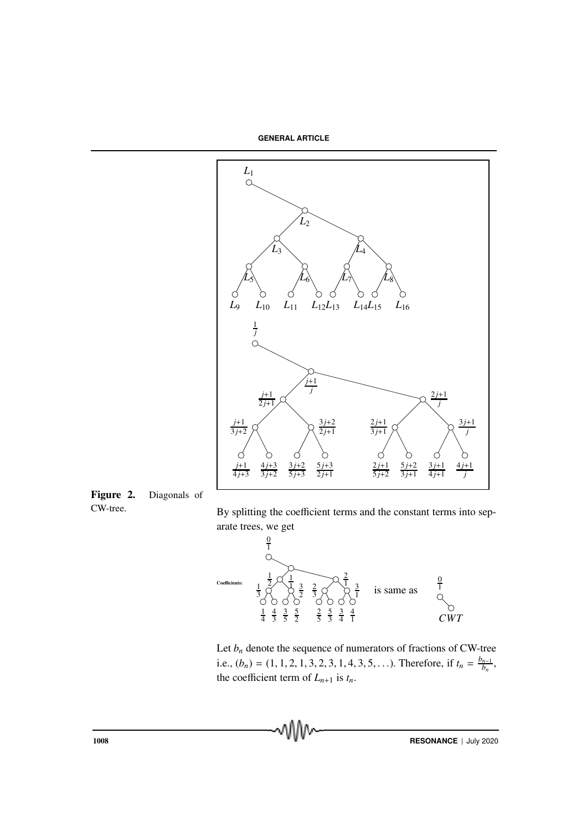**GENERAL ARTICLE**



Figure 2. Diagonals of

CW-tree. By splitting the coefficient terms and the constant terms into separate trees, we get



Let  $b_n$  denote the sequence of numerators of fractions of CW-tree i.e.,  $(b_n) = (1, 1, 2, 1, 3, 2, 3, 1, 4, 3, 5, \ldots)$ . Therefore, if  $t_n = \frac{b_{n-1}}{b_n}$  $\frac{b_{n-1}}{b_n},$ the coefficient term of  $L_{n+1}$  is  $t_n$ .

vVV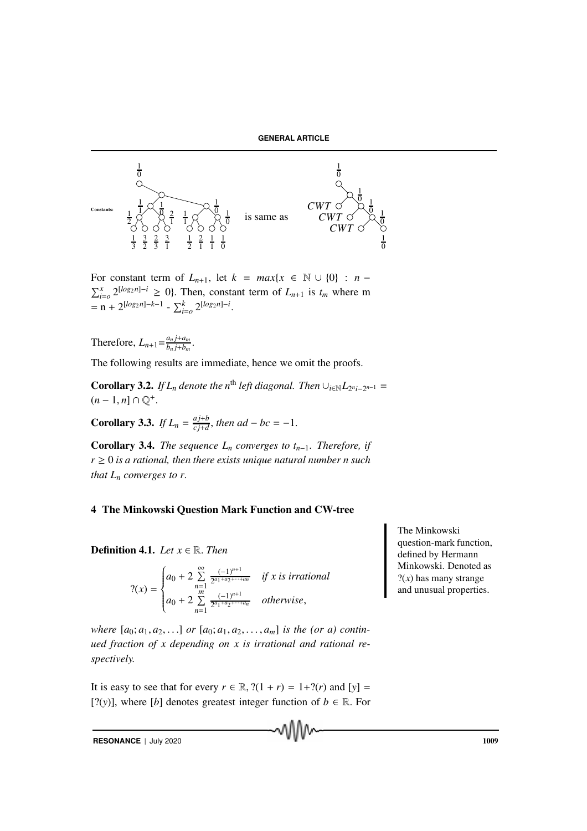

For constant term of  $L_{n+1}$ , let  $k = max\{x \in \mathbb{N} \cup \{0\} : n \sum_{i=0}^{x} 2^{\lfloor log_2 n \rfloor - i} \geq 0$ . Then, constant term of  $L_{n+1}$  is  $t_m$  where m  $=$ **n** + 2<sup>[log<sub>2</sub>n]–*k*-1</sup> -  $\sum_{i=0}^{k} 2^{[log_{2}n]-i}$ .

Therefore,  $L_{n+1} = \frac{a_n j + a_m}{b_n j + b_m}$  $\frac{a_n j + a_m}{b_n j + b_m}$ .

The following results are immediate, hence we omit the proofs.

**Corollary 3.2.** *If*  $L_n$  *denote the*  $n^{\text{th}}$  *left diagonal. Then*  $\cup_{i \in \mathbb{N}} L_{2^{n_i}-2^{n-1}} =$  $(n-1, n] \cap \mathbb{Q}^+$ .

Corollary 3.3. *If*  $L_n = \frac{aj+b}{ci+d}$  $\frac{a_1+b}{c_1+d}$ , then ad – bc = –1.

**Corollary 3.4.** *The sequence*  $L_n$  *converges to*  $t_{n-1}$ *. Therefore, if*  $r \geq 0$  *is a rational, then there exists unique natural number n such that*  $L_n$  *converges to r.* 

### 4 The Minkowski Question Mark Function and CW-tree

**Definition 4.1.** *Let*  $x \in \mathbb{R}$ *. Then* 

$$
?(x) = \begin{cases} a_0 + 2 \sum_{n=1}^{\infty} \frac{(-1)^{n+1}}{2^{a_1 + a_2 + \dots + a_n}} & \text{if } x \text{ is irrational} \\ a_0 + 2 \sum_{n=1}^m \frac{(-1)^{n+1}}{2^{a_1 + a_2 + \dots + a_n}} & \text{otherwise,} \end{cases}
$$

*where*  $[a_0; a_1, a_2, \ldots]$  *or*  $[a_0; a_1, a_2, \ldots, a_m]$  *is the (or a) continued fraction of x depending on x is irrational and rational respectively.*

It is easy to see that for every  $r \in \mathbb{R}$ ,  $?(\frac{1+r}{1+r}) = \frac{1+?(r)}{r}$  and  $[y] =$ [?(*y*)], where [*b*] denotes greatest integer function of  $b \in \mathbb{R}$ . For

**RESONANCE** | July 2020 1009

The Minkowski question-mark function, defined by Hermann Minkowski. Denoted as  $?$ (*x*) has many strange and unusual properties.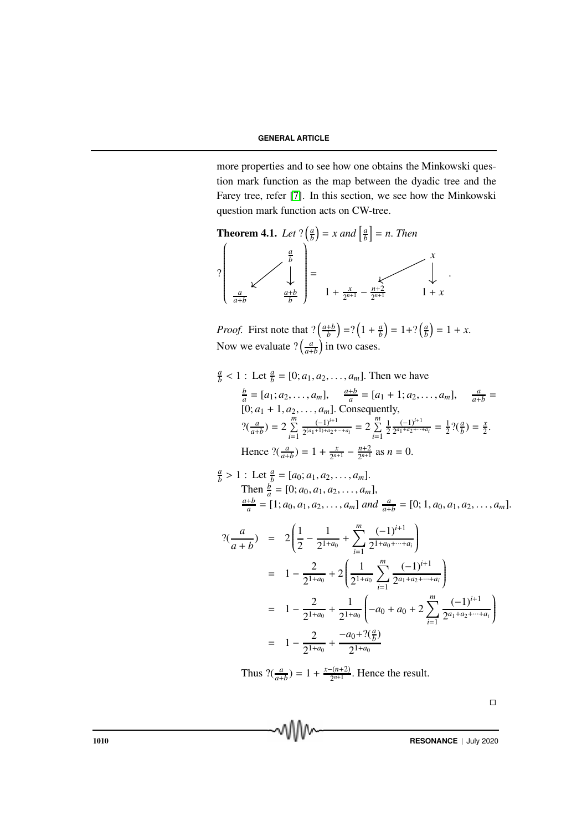more properties and to see how one obtains the Minkowski question mark function as the map between the dyadic tree and the Farey tree, refer [7]. In this section, we see how the Minkowski question mark function acts on CW-tree.



*Proof.* First note that  $?(\frac{a+b}{b})$  $\left(\frac{ab}{b}\right)$  =?  $\left(1+\frac{a}{b}\right)$  $\left(\frac{a}{b}\right) = 1 + ? \left(\frac{a}{b}\right)$  $\left(\frac{a}{b}\right) = 1 + x.$ Now we evaluate  $?(\frac{a}{a+b})$  in two cases.

$$
\frac{a}{b} < 1: \text{Let } \frac{a}{b} = [0; a_1, a_2, \dots, a_m]. \text{ Then we have}
$$
\n
$$
\frac{b}{a} = [a_1; a_2, \dots, a_m], \quad \frac{a+b}{a} = [a_1 + 1; a_2, \dots, a_m], \quad \frac{a}{a+b} = [0; a_1 + 1, a_2, \dots, a_m]. \text{ Consequently,}
$$
\n
$$
?(\frac{a}{a+b}) = 2 \sum_{i=1}^{m} \frac{(-1)^{i+1}}{2^{(a_1+1)+a_2+\dots+a_i}} = 2 \sum_{i=1}^{m} \frac{1}{2} \frac{(-1)^{i+1}}{2^{a_1+a_2+\dots+a_i}} = \frac{1}{2} ?(\frac{a}{b}) = \frac{x}{2}.
$$
\nHence  $?(\frac{a}{a+b}) = 1 + \frac{x}{2^{n+1}} - \frac{n+2}{2^{n+1}}$  as  $n = 0$ .

$$
\frac{a}{b} > 1: \text{ Let } \frac{a}{b} = [a_0; a_1, a_2, \dots, a_m].
$$
  
Then  $\frac{b}{a} = [0; a_0, a_1, a_2, \dots, a_m],$   
 $\frac{a+b}{a} = [1; a_0, a_1, a_2, \dots, a_m]$  and  $\frac{a}{a+b} = [0; 1, a_0, a_1, a_2, \dots, a_m].$ 

$$
?(\frac{a}{a+b}) = 2\left(\frac{1}{2} - \frac{1}{2^{1+a_0}} + \sum_{i=1}^{m} \frac{(-1)^{i+1}}{2^{1+a_0+\cdots+a_i}}\right)
$$
  
\n
$$
= 1 - \frac{2}{2^{1+a_0}} + 2\left(\frac{1}{2^{1+a_0}}\sum_{i=1}^{m} \frac{(-1)^{i+1}}{2^{a_1+a_2+\cdots+a_i}}\right)
$$
  
\n
$$
= 1 - \frac{2}{2^{1+a_0}} + \frac{1}{2^{1+a_0}}\left(-a_0 + a_0 + 2\sum_{i=1}^{m} \frac{(-1)^{i+1}}{2^{a_1+a_2+\cdots+a_i}}\right)
$$
  
\n
$$
= 1 - \frac{2}{2^{1+a_0}} + \frac{-a_0 + ?(\frac{a}{b})}{2^{1+a_0}}
$$

Thus  $?(\frac{a}{a+b}) = 1 + \frac{x-(n+2)}{2^{n+1}}$  $\frac{2^{n+1}}{2^{n+1}}$ . Hence the result.

 $\Box$ 

1010 **RESONANCE** | July 2020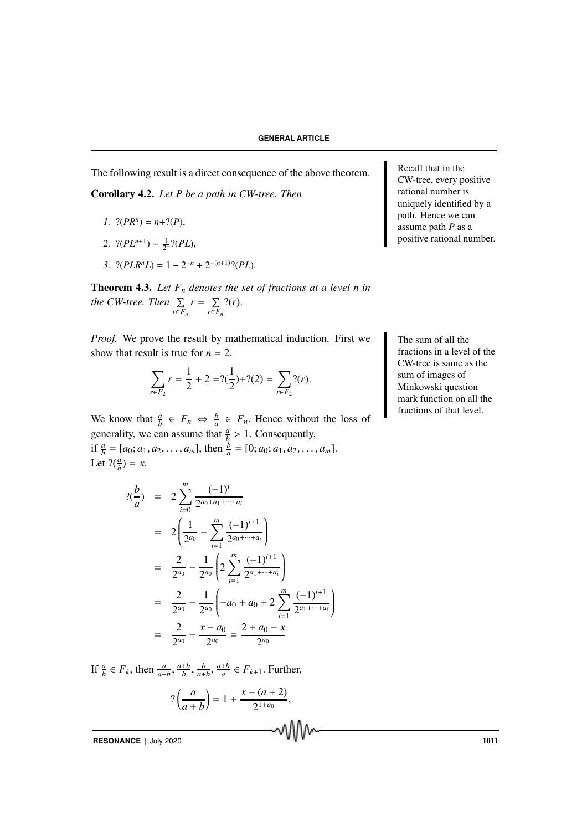The following result is a direct consequence of the above theorem.

Corollary 4.2. *Let P be a path in CW-tree. Then*

- *1.*  $?({PR^n}) = n+?({P}),$
- 2.  $?(PL^{n+1}) = \frac{1}{2^n} ?(PL),$
- 3.  $?(PLR^nL) = 1 2^{-n} + 2^{-(n+1)}$ ?(*PL*).

Theorem 4.3. *Let F<sup>n</sup> denotes the set of fractions at a level n in the CW-tree. Then*  $\Sigma$ *r*∈*F<sup>n</sup>*  $r = \sum$ *r*∈*F<sup>n</sup>* ?(*r*).

*Proof.* We prove the result by mathematical induction. First we The sum of all the show that result is true for  $n = 2$ .

$$
\sum_{r \in F_2} r = \frac{1}{2} + 2 = ?(\frac{1}{2}) + ?(2) = \sum_{r \in F_2} ?(r).
$$

We know that  $\frac{a}{b} \in F_n \Leftrightarrow \frac{b}{a} \in F_n$ . Hence without the loss of generality, we can assume that  $\frac{a}{b} > 1$ . Consequently,

if  $\frac{a}{b} = [a_0; a_1, a_2, \dots, a_m]$ , then  $\frac{b}{a} = [0; a_0; a_1, a_2, \dots, a_m]$ . Let  $?(\frac{a}{b}) = x$ .

$$
?(\frac{b}{a}) = 2 \sum_{i=0}^{m} \frac{(-1)^{i}}{2^{a_0 + a_1 + \dots + a_i}}
$$
  
=  $2 \left( \frac{1}{2^{a_0}} - \sum_{i=1}^{m} \frac{(-1)^{i+1}}{2^{a_0 + \dots + a_i}} \right)$   
=  $\frac{2}{2^{a_0}} - \frac{1}{2^{a_0}} \left( 2 \sum_{i=1}^{m} \frac{(-1)^{i+1}}{2^{a_1 + \dots + a_i}} \right)$   
=  $\frac{2}{2^{a_0}} - \frac{1}{2^{a_0}} \left( -a_0 + a_0 + 2 \sum_{i=1}^{m} \frac{(-1)^{i+1}}{2^{a_1 + \dots + a_i}} \right)$   
=  $\frac{2}{2^{a_0}} - \frac{x - a_0}{2^{a_0}} = \frac{2 + a_0 - x}{2^{a_0}}$ 

If  $\frac{a}{b} \in F_k$ , then  $\frac{a}{a+b}$ ,  $\frac{a+b}{b}$  $\frac{ab}{b}$ ,  $\frac{b}{a+b}$ ,  $\frac{a+b}{a}$  $\frac{+b}{a} \in F_{k+1}$ . Further,

$$
? \left( \frac{a}{a+b} \right) = 1 + \frac{x - (a+2)}{2^{1+a_0}},
$$

**RESONANCE** | July 2020 1011

Recall that in the CW-tree, every positive rational number is uniquely identified by a path. Hence we can assume path *P* as a positive rational number.

fractions in a level of the CW-tree is same as the sum of images of Minkowski question mark function on all the fractions of that level.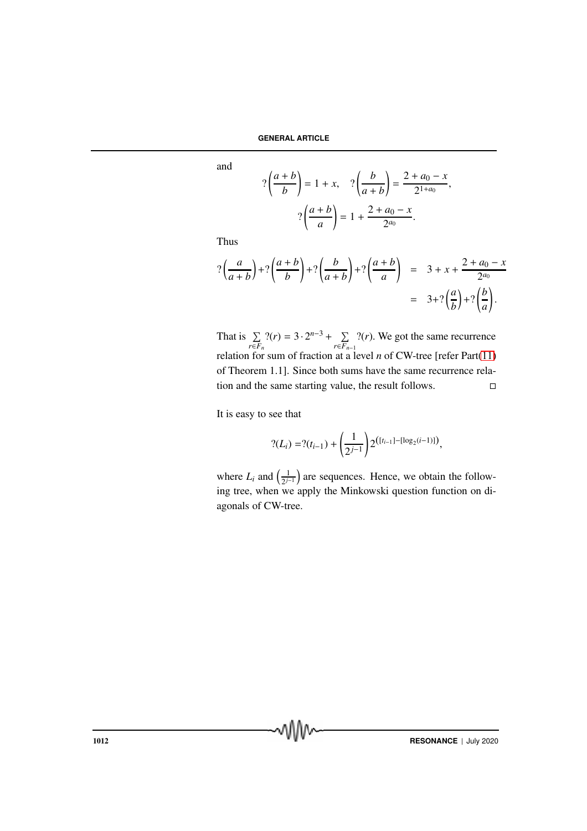and

$$
? \left(\frac{a+b}{b}\right) = 1 + x, \quad ? \left(\frac{b}{a+b}\right) = \frac{2+a_0-x}{2^{1+a_0}}
$$

$$
? \left(\frac{a+b}{a}\right) = 1 + \frac{2+a_0-x}{2^{a_0}}.
$$

,

Thus

$$
? \left(\frac{a}{a+b}\right) + ? \left(\frac{a+b}{b}\right) + ? \left(\frac{b}{a+b}\right) + ? \left(\frac{a+b}{a}\right) = 3 + x + \frac{2+a_0-x}{2^{a_0}}
$$

$$
= 3 + ? \left(\frac{a}{b}\right) + ? \left(\frac{b}{a}\right).
$$

That is  $\Sigma$ *r*∈*F<sup>n</sup>*  $?(r) = 3 \cdot 2^{n-3} + \sum$ *r*∈*Fn*−<sup>1</sup> ?(*r*). We got the same recurrence relation for sum of fraction at a level *n* of CW-tree [refer Part(11) of Theorem 1.1]. Since both sums have the same recurrence relation and the same starting value, the result follows.

It is easy to see that

$$
? (L_i) = ?(t_{i-1}) + \left(\frac{1}{2^{j-1}}\right) 2^{\left([t_{i-1}] - [\log_2(i-1)]\right)},
$$

where  $L_i$  and  $\left(\frac{1}{2}\right)$  $\frac{1}{2^{j-1}}$  are sequences. Hence, we obtain the following tree, when we apply the Minkowski question function on diagonals of CW-tree.

**1012 RESONANCE** | July 2020